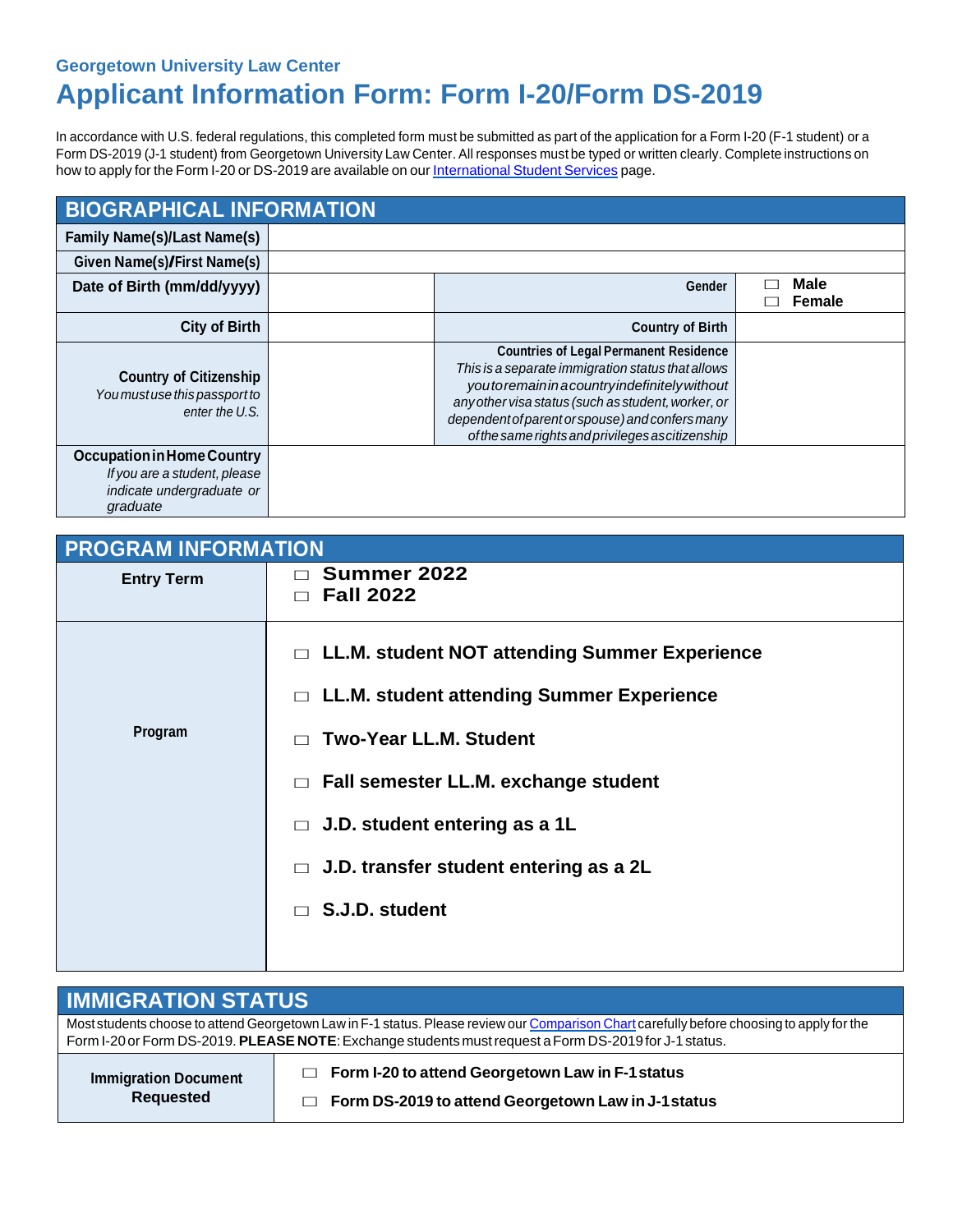## **Georgetown University Law Center Applicant Information Form: Form I-20/Form DS-2019**

In accordance with U.S. federal regulations, this completed form must be submitted as part of the application for a Form I-20 (F-1 student) or a Form DS-2019 (J-1 student) from Georgetown University Law Center. All responses must be typed or written clearly. Complete instructions on how to apply for the Form I-20 or DS-2019 are available on our [International](https://www.law.georgetown.edu/admissions-aid/international-students/new-students/request-i-20-or-ds-2019/) Student Services page.

| <b>BIOGRAPHICAL INFORMATION</b>                                                                            |  |                                                                                                                                                                                                                                                                                                              |  |                |
|------------------------------------------------------------------------------------------------------------|--|--------------------------------------------------------------------------------------------------------------------------------------------------------------------------------------------------------------------------------------------------------------------------------------------------------------|--|----------------|
| <b>Family Name(s)/Last Name(s)</b>                                                                         |  |                                                                                                                                                                                                                                                                                                              |  |                |
| Given Name(s)/First Name(s)                                                                                |  |                                                                                                                                                                                                                                                                                                              |  |                |
| Date of Birth (mm/dd/yyyy)                                                                                 |  | Gender                                                                                                                                                                                                                                                                                                       |  | Male<br>Female |
| <b>City of Birth</b>                                                                                       |  | <b>Country of Birth</b>                                                                                                                                                                                                                                                                                      |  |                |
| <b>Country of Citizenship</b><br>You mustuse this passport to<br>enter the U.S.                            |  | <b>Countries of Legal Permanent Residence</b><br>This is a separate immigration status that allows<br>youtoremaininacountryindefinitely without<br>any other visa status (such as student, worker, or<br>dependent of parent or spouse) and confers many<br>of the same rights and privileges as citizenship |  |                |
| <b>Occupation in Home Country</b><br>If you are a student, please<br>indicate undergraduate or<br>graduate |  |                                                                                                                                                                                                                                                                                                              |  |                |

| <b>PROGRAM INFORMATION</b> |                                                                                                                                                                                                                                                                                                                     |  |
|----------------------------|---------------------------------------------------------------------------------------------------------------------------------------------------------------------------------------------------------------------------------------------------------------------------------------------------------------------|--|
| <b>Entry Term</b>          | Summer 2022<br><b>Fall 2022</b><br>$\Box$                                                                                                                                                                                                                                                                           |  |
| Program                    | $\Box$ LL.M. student NOT attending Summer Experience<br>$\Box$ LL.M. student attending Summer Experience<br><b>Two-Year LL.M. Student</b><br>$\Box$ Fall semester LL.M. exchange student<br>J.D. student entering as a 1L<br>$\Box$<br>J.D. transfer student entering as a 2L<br>$\Box$<br>S.J.D. student<br>$\Box$ |  |

| <b>IMMIGRATION STATUS</b>                                                                                                                  |                                                                                                                          |  |  |  |
|--------------------------------------------------------------------------------------------------------------------------------------------|--------------------------------------------------------------------------------------------------------------------------|--|--|--|
| Most students choose to attend Georgetown Law in F-1 status. Please review our Comparison Chart carefully before choosing to apply for the |                                                                                                                          |  |  |  |
| Form I-20 or Form DS-2019. PLEASE NOTE: Exchange students must request a Form DS-2019 for J-1 status.                                      |                                                                                                                          |  |  |  |
| <b>Immigration Document</b><br><b>Requested</b>                                                                                            | $\Box$ Form I-20 to attend Georgetown Law in F-1 status<br>Form DS-2019 to attend Georgetown Law in J-1 status<br>$\Box$ |  |  |  |